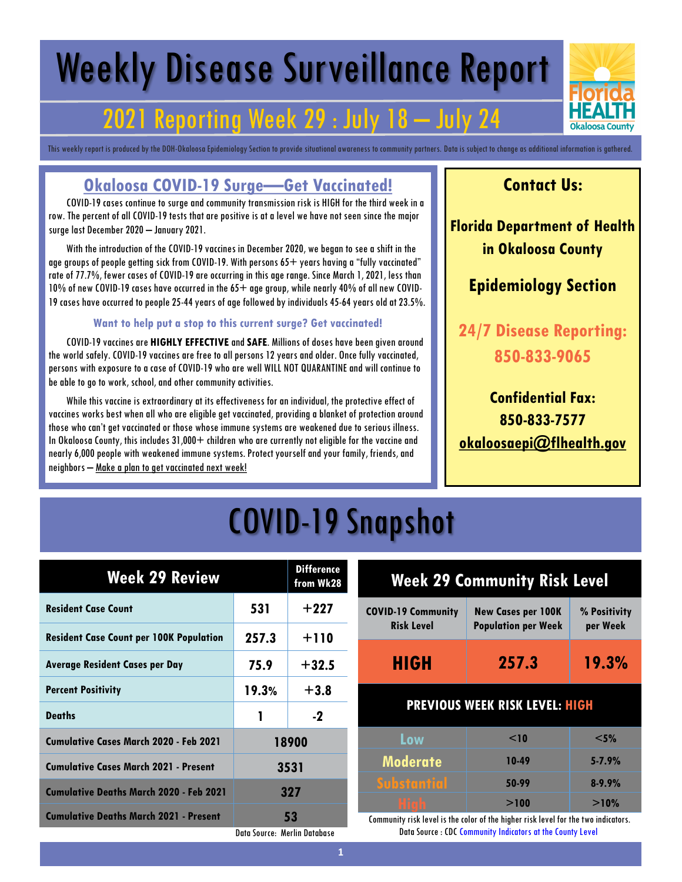# Weekly Disease Surveillance Report

### 2021 Reporting Week 29 : July 18 – July 24

This weekly report is produced by the DOH-Okaloosa Epidemiology Section to provide situational awareness to community partners. Data is subject to change as additional information is gathered.

#### **Okaloosa COVID-19 Surge—Get Vaccinated!**

 COVID-19 cases continue to surge and community transmission risk is HIGH for the third week in a row. The percent of all COVID-19 tests that are positive is at a level we have not seen since the major surge last December 2020 – January 2021.

 With the introduction of the COVID-19 vaccines in December 2020, we began to see a shift in the age groups of people getting sick from COVID-19. With persons  $65+$  years having a "fully vaccinated" rate of 77.7%, fewer cases of COVID-19 are occurring in this age range. Since March 1, 2021, less than 10% of new COVID-19 cases have occurred in the 65+ age group, while nearly 40% of all new COVID-19 cases have occurred to people 25-44 years of age followed by individuals 45-64 years old at 23.5%.

#### **Want to help put a stop to this current surge? Get vaccinated!**

 COVID-19 vaccines are **HIGHLY EFFECTIVE**and **SAFE**. Millions of doses have been given around the world safely. COVID-19 vaccines are free to all persons 12 years and older. Once fully vaccinated, persons with exposure to a case of COVID-19 who are well WILL NOT QUARANTINE and will continue to be able to go to work, school, and other community activities.

 While this vaccine is extraordinary at its effectiveness for an individual, the protective effect of vaccines works best when all who are eligible get vaccinated, providing a blanket of protection around those who can't get vaccinated or those whose immune systems are weakened due to serious illness. In Okaloosa County, this includes 31,000+ children who are currently not eligible for the vaccine and nearly 6,000 people with weakened immune systems. Protect yourself and your family, friends, and neighbors – Make a plan to get vaccinated next week!

#### **Contact Us:**

**Florida Department of Health in Okaloosa County**

#### **Epidemiology Section**

**24/7 Disease Reporting: 850-833-9065**

**Confidential Fax: 850-833-7577 [okaloosaepi@flhealth.gov](mailto:okaloosaepi@flhealth.gov)**

## COVID-19 Snapshot

| <b>Week 29 Review</b>                          |                              | <b>Difference</b><br>from Wk28 |              |
|------------------------------------------------|------------------------------|--------------------------------|--------------|
| <b>Resident Case Count</b>                     | 531                          | $+227$                         | <b>COVID</b> |
| <b>Resident Case Count per 100K Population</b> | 257.3                        | $+110$                         |              |
| <b>Average Resident Cases per Day</b>          | 75.9                         | $+32.5$                        |              |
| <b>Percent Positivity</b>                      | 19.3%                        | $+3.8$                         |              |
| <b>Deaths</b>                                  | 1                            | $-2$                           |              |
| <b>Cumulative Cases March 2020 - Feb 2021</b>  |                              | 18900                          |              |
| <b>Cumulative Cases March 2021 - Present</b>   | 3531                         |                                | M            |
| <b>Cumulative Deaths March 2020 - Feb 2021</b> | 327                          |                                |              |
| <b>Cumulative Deaths March 2021 - Present</b>  |                              | 53                             | Commu        |
|                                                | Data Source: Merlin Database |                                |              |

| <b>Week 29 Community Risk Level</b>            |                                                         |                          |  |
|------------------------------------------------|---------------------------------------------------------|--------------------------|--|
| <b>COVID-19 Community</b><br><b>Risk Level</b> | <b>New Cases per 100K</b><br><b>Population per Week</b> | % Positivity<br>per Week |  |
| <b>HIGH</b>                                    | 257.3                                                   | 19.3%                    |  |
| <b>PREVIOUS WEEK RISK LEVEL: HIGH</b>          |                                                         |                          |  |
| Low                                            | $<$ 10                                                  | $<$ 5%                   |  |
| <b>Moderate</b>                                | 10-49                                                   | $5 - 7.9%$               |  |
| <b>Substantial</b>                             | 50-99                                                   | $8 - 9.9%$               |  |
| <u>High</u>                                    | >100                                                    | >10%                     |  |

Inity risk level is the color of the higher risk level for the two indicators. Data Source : CDC Community Indicators at the County Level

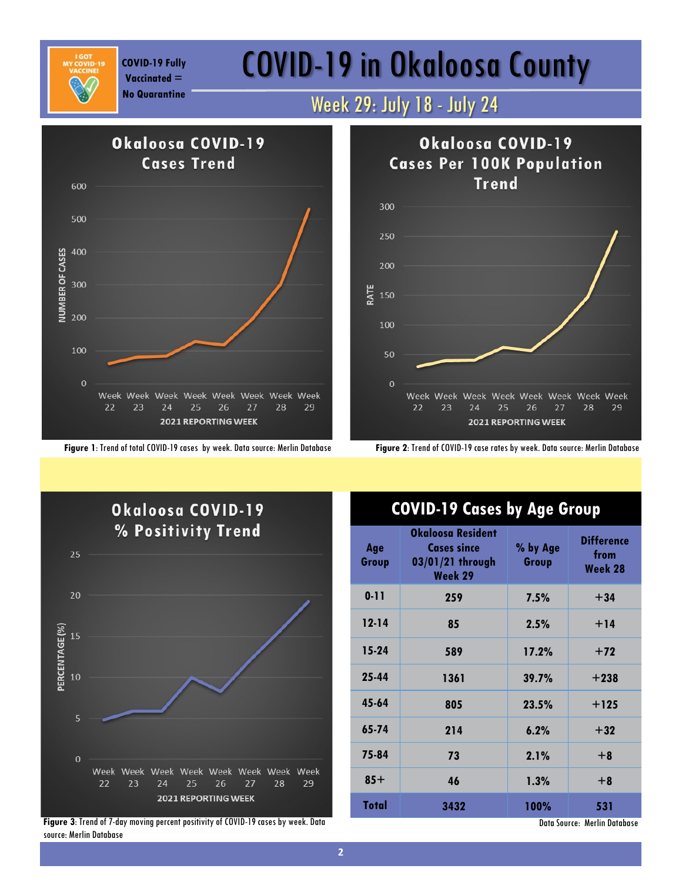

**Vaccinated =** 

**Figure 1**: Trend of total COVID-19 cases by week. Data source: Merlin Database **Figure 2**: Trend of COVID-19 case rates by week. Data source: Merlin Database

## COVID-19 Fully **COVID-19 in Okaloosa County**

### **No Quarantine** Week 29: July 18 - July 24





**Figure 3**: Trend of 7-day moving percent positivity of COVID-19 cases by week. Data source: Merlin Database

#### **COVID-19 Cases by Age Group**

| Age<br>Group | Okaloosa Resident<br><b>Cases since</b><br>03/01/21 through<br>Week 29 | % by Age<br>Group | <b>Difference</b><br>from<br>Week 28 |
|--------------|------------------------------------------------------------------------|-------------------|--------------------------------------|
| $0 - 11$     | 259                                                                    | 7.5%              | $+34$                                |
| $12 - 14$    | 85                                                                     | 2.5%              | $+14$                                |
| $15-24$      | 589                                                                    | 17.2%             | $+72$                                |
| 25-44        | 1361                                                                   | 39.7%             | $+238$                               |
| 45-64        | 805                                                                    | 23.5%             | $+125$                               |
| 65-74        | 214                                                                    | 6.2%              | $+32$                                |
| 75-84        | 73                                                                     | 2.1%              | $+8$                                 |
| $85+$        | 46                                                                     | 1.3%              | $+8$                                 |
| Total        | 3432                                                                   | 100%              | 531                                  |

Data Source: Merlin Database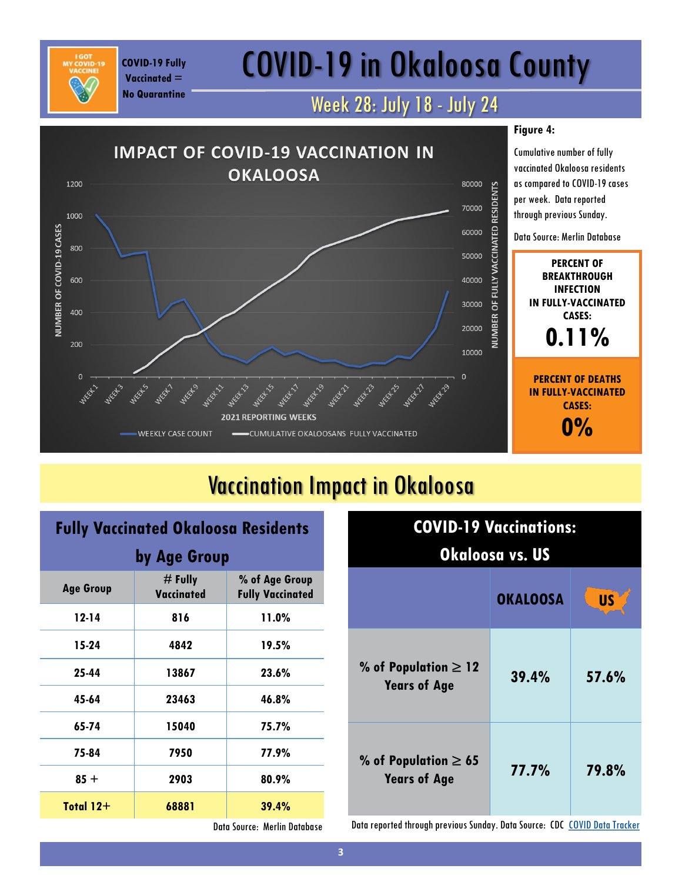## COVID-19 in Okaloosa County

### Week 28: July 18 - July 24



### Vaccination Impact in Okaloosa

## **Fully Vaccinated Okaloosa Residents**

**COVID-19 Fully Vaccinated = No Quarantine**

| by Age Group     |                                |                                           |
|------------------|--------------------------------|-------------------------------------------|
| <b>Age Group</b> | $#$ Fully<br><b>Vaccinated</b> | % of Age Group<br><b>Fully Vaccinated</b> |
| 12-14            | 816                            | 11.0%                                     |
| 15-24            | 4842                           | 19.5%                                     |
| 25-44            | 13867                          | 23.6%                                     |
| 45-64            | 23463                          | 46.8%                                     |
| 65-74            | 15040                          | 75.7%                                     |
| 75-84            | 7950                           | 77.9%                                     |
| $85 +$           | 2903                           | 80.9%                                     |
| Total $12+$      | 68881                          | 39.4%                                     |

| <b>COVID-19 Vaccinations:</b><br><u>Okaloosa vs. US</u> |       |       |  |
|---------------------------------------------------------|-------|-------|--|
| <b>US</b><br><b>OKALOOSA</b>                            |       |       |  |
| % of Population $\geq 12$<br><b>Years of Age</b>        | 39.4% | 57.6% |  |
| % of Population $\geq 65$<br><b>Years of Age</b>        | 77.7% | 79.8% |  |

Data Source: Merlin Database

Data reported through previous Sunday. Data Source: CDC [COVID Data Tracker](https://covid.cdc.gov/covid-data-tracker/#vaccinations)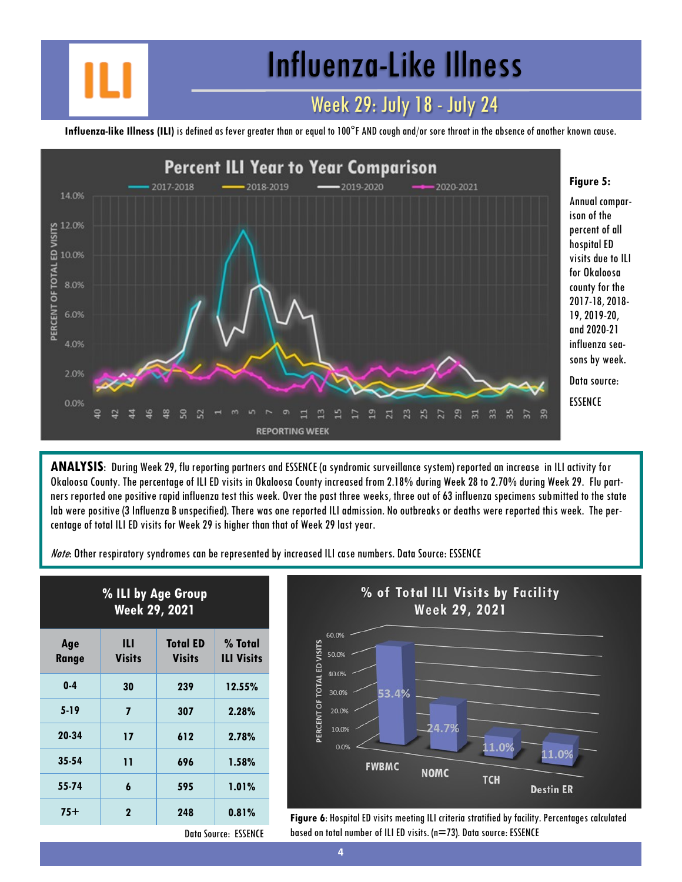Influenza-Like Illness

#### Week 29: July 18 - July 24

**Influenza-like Illness (ILI)** is defined as fever greater than or equal to 100°F AND cough and/or sore throat in the absence of another known cause.



**ANALYSIS**: During Week 29, flu reporting partners and ESSENCE (a syndromic surveillance system) reported an increase in ILI activity for Okaloosa County. The percentage of ILI ED visits in Okaloosa County increased from 2.18% during Week 28 to 2.70% during Week 29. Flu partners reported one positive rapid influenza test this week. Over the past three weeks, three out of 63 influenza specimens submitted to the state lab were positive (3 Influenza B unspecified). There was one reported ILI admission. No outbreaks or deaths were reported this week. The percentage of total ILI ED visits for Week 29 is higher than that of Week 29 last year.

Note: Other respiratory syndromes can be represented by increased ILI case numbers. Data Source: ESSENCE

| % ILI by Age Group<br>Week 29, 2021 |                    |                                  |                              |
|-------------------------------------|--------------------|----------------------------------|------------------------------|
| Age<br>Range                        | Ш<br><b>Visits</b> | <b>Total ED</b><br><b>Visits</b> | % Total<br><b>ILI Visits</b> |
| $0-4$                               | 30                 | 239                              | 12.55%                       |
| $5-19$                              | 7                  | 307                              | 2.28%                        |
| 20-34                               | 17                 | 612                              | 2.78%                        |
| $35 - 54$                           | 11                 | 696                              | 1.58%                        |
| 55-74                               | 6                  | 595                              | 1.01%                        |
| $75+$                               | $\mathbf 2$        | 248                              | 0.81%                        |



**Figure 6:** Hospital ED visits meeting ILI criteria stratified by facility. Percentages calculated based on total number of ILI ED visits. (n=73). Data source: ESSENCE

Data Source: ESSENCE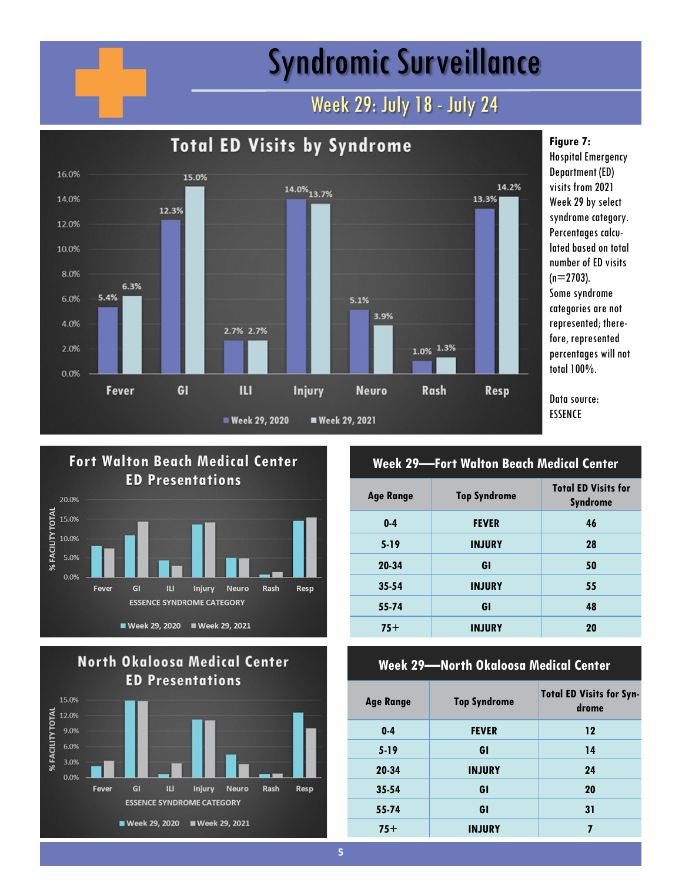## Syndromic Surveillance

### Week 29: July 18 - July 24







| <b>Week 29—Fort Walton Beach Medical Center</b> |                     |                                               |
|-------------------------------------------------|---------------------|-----------------------------------------------|
| <b>Age Range</b>                                | <b>Top Syndrome</b> | <b>Total ED Visits for</b><br><b>Syndrome</b> |
| $0 - 4$                                         | <b>FEVER</b>        | 46                                            |
| $5 - 19$                                        | <b>INJURY</b>       | 28                                            |
| 20-34                                           | GI                  | 50                                            |
| $35 - 54$                                       | <b>INJURY</b>       | 55                                            |
| 55-74                                           | GI                  | 48                                            |
| $75+$                                           | <b>INJURY</b>       | 20                                            |

#### **Week 29—North Okaloosa Medical Center**

| <b>Age Range</b> | <b>Top Syndrome</b> | <b>Total ED Visits for Syn-</b><br>drome |
|------------------|---------------------|------------------------------------------|
| $0 - 4$          | <b>FEVER</b>        | $12 \,$                                  |
| $5 - 19$         | GI                  | 14                                       |
| 20-34            | <b>INJURY</b>       | 24                                       |
| $35 - 54$        | GI                  | 20                                       |
| 55-74            | GI                  | 31                                       |
| $75+$            | <b>INJURY</b>       | 7                                        |

### **Figure 7:**

Hospital Emergency Department (ED) visits from 2021 Week 29 by select syndrome category. Percentages calculated based on total number of ED visits  $(n=2703)$ . Some syndrome categories are not represented; therefore, represented percentages will not total 100%.

Data source: ESSENCE